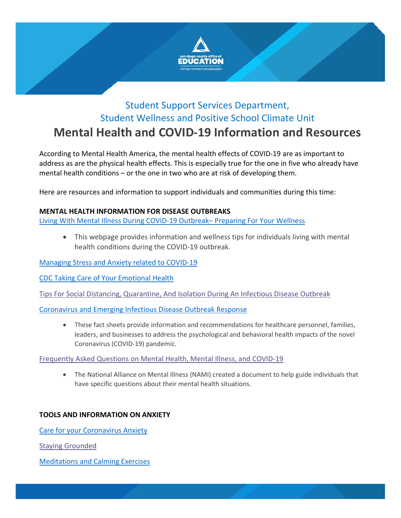

# Student Support Services Department, Student Wellness and Positive School Climate Unit **Mental Health and COVID-19 Information and Resources**

According to Mental Health America, the mental health effects of COVID-19 are as important to address as are the physical health effects. This is especially true for the one in five who already have mental health conditions – or the one in two who are at risk of developing them.

Here are resources and information to support individuals and communities during this time:

# **MENTAL HEALTH INFORMATION FOR DISEASE OUTBREAKS**

[Living With Mental Illness During COVID-19 Outbreak–](https://mhanational.org/living-mental-illness-during-covid-19-outbreak-preparing-your-wellness) Preparing For Your Wellness

• This webpage provides information and wellness tips for individuals living with mental health conditions during the COVID-19 outbreak.

[Managing Stress and Anxiety related to COVID-19](https://www.cdc.gov/coronavirus/2019-ncov/prepare/managing-stress-anxiety.html?CDC_AA_refVal=https%3A%2F%2Fwww.cdc.gov%2Fcoronavirus%2F2019-ncov%2Fabout%2Fcoping.html)

[CDC Taking Care of Your Emotional Health](https://emergency.cdc.gov/coping/selfcare.asp)

[Tips For Social Distancing, Quarantine, And Isolation During](https://www.sdcoe.net/student-services/student-support/Documents/Mental%20Health/tips-social-distancing-quarantine-isolation-031620.pdf) An Infectious Disease Outbreak

[Coronavirus and Emerging Infectious Disease Outbreak Response](https://www.cstsonline.org/resources/resource-master-list/coronavirus-and-emerging-infectious-disease-outbreaks-response)

• These fact sheets provide information and recommendations for healthcare personnel, families, leaders, and businesses to address the psychological and behavioral health impacts of the novel Coronavirus (COVID-19) pandemic.

## [Frequently Asked Questions on Mental Health, Mental Illness, and COVID-19](https://www.sdcoe.net/student-services/student-support/Documents/Mental%20Health/COVID-19-Updated-Guide-1.pdf)

• The National Alliance on Mental Illness (NAMI) created a document to help guide individuals that have specific questions about their mental health situations.

# **TOOLS AND INFORMATION ON ANXIETY**

[Care for your Coronavirus Anxiety](https://www.virusanxiety.com/)

[Staying Grounded](https://www.sdcoe.net/student-services/student-support/Documents/Mental%20Health/B2S%202018%20Worksheet%20-%20Keep%20Your%20Mind%20Grounded.pdf)

[Meditations and Calming Exercises](https://www.calm.com/blog/take-a-deep-breath?utm_source=lifecycle&utm_medium=email&utm_campaign=difficult_times_subs_031720)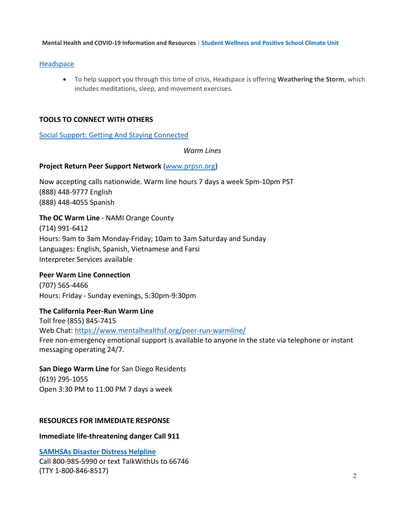**Mental Health and COVID-19 Information and Resources** | **Student Wellness and Positive School Climate Unit**

# [Headspace](https://www.headspace.com/covid-19)

• To help support you through this time of crisis, Headspace is offering **Weathering the Storm**, which includes meditations, sleep, and movement exercises.

# **TOOLS TO CONNECT WITH OTHERS**

[Social Support: Getting And Staying Connected](https://mhanational.org/stay-connected)

*Warm Lines*

# **Project Return Peer Support Network** [\(www.prpsn.org\)](http://www.prpsn.org/)

Now accepting calls nationwide. Warm line hours 7 days a week 5pm-10pm PST (888) 448-9777 English (888) 448-4055 Spanish

# **The OC Warm Line** - NAMI Orange County

(714) 991-6412 Hours: 9am to 3am Monday-Friday; 10am to 3am Saturday and Sunday Languages: English, Spanish, Vietnamese and Farsi Interpreter Services available

# **Peer Warm Line Connection**

(707) 565-4466 Hours: Friday - Sunday evenings, 5:30pm-9:30pm

**The California Peer-Run Warm Line** Toll free (855) 845-7415 Web Chat: [https://www.mentalhealthsf.org/peer-run-warmline/](https://urldefense.proofpoint.com/v2/url?u=http-3A__r20.rs6.net_tn.jsp-3Ff-3D001uAX-5Fd7-5FW2vGq-2DtHjl-5FPG09v5lfrSCHr6bW0TG7lGoRHPMbwA2pTdKjJGzD5aC068-2DNJCgQ9rbbqXdCKHZI7lQQy5kaW5S0ys5finQKA2F4xoae0N1hm6t82QzJ-5FFGIppr8ttL387gtkrvttRbejWCc3M-5F-5FFqYF1pQVgxq0dpt1pTNE1k-2DBd57g-3D-3D-26c-3DMnL94eBq2ei2bmuhhHVco37Mv7yleT-5FL3g7jB1c4DwAsvzCtPHaGDQ-3D-3D-26ch-3DxbRYt0op3x-5F67r0bldMtFGv6hOZSdrNnSUEsKdKzki-2DWWCB5lkqA2w-3D-3D&d=DwMCaQ&c=SIStQSL0VMIUJoLS-Q8giiFlA-AKdP7tpJHyQh8DeXk&r=xt284qGZ9Z4H6YGHT5ksPKlBEgFxC3J7J96xC6V6p5I&m=QYv3Gtt7Hhpv6fVnvehLLdwu_usV-oOoPXombFuJHD4&s=iXBZOFJobbtkPS8IQ75f8W9jeJ4bOMTNI1R5T8sO2vA&e=) Free non-emergency emotional support is available to anyone in the state via telephone or instant messaging operating 24/7.

# **San Diego Warm Line** for San Diego Residents

(619) 295-1055 Open 3:30 PM to 11:00 PM 7 days a week

# **RESOURCES FOR IMMEDIATE RESPONSE**

## **Immediate life-threatening danger Call 911**

**[SAMHSAs Disaster Distress Helpline](https://www.samhsa.gov/find-help/disaster-distress-helpline)** Call 800-985-5990 or text TalkWithUs to 66746 (TTY 1-800-846-8517)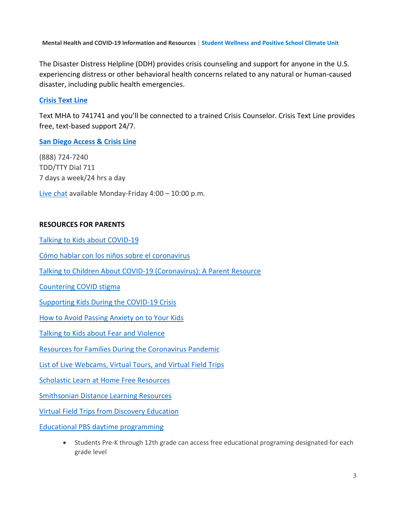**Mental Health and COVID-19 Information and Resources** | **Student Wellness and Positive School Climate Unit**

The Disaster Distress Helpline (DDH) provides crisis counseling and support for anyone in the U.S. experiencing distress or other behavioral health concerns related to any natural or human-caused disaster, including public health emergencies.

## **[Crisis Text Line](https://www.crisistextline.org/)**

Text MHA to 741741 and you'll be connected to a trained Crisis Counselor. Crisis Text Line provides free, text-based support 24/7.

## **[San Diego Access & Crisis Line](https://www.optumsandiego.com/content/sandiego/en/access---crisis-line.html)**

(888) 724-7240 TDD/TTY Dial 711 7 days a week/24 hrs a day [Live chat](https://omnidigital.uhc.com/SDChat/) available Monday-Friday 4:00 – 10:00 p.m.

#### **RESOURCES FOR PARENTS**

[Talking to Kids about COVID-19](https://childmind.org/article/talking-to-kids-about-the-coronavirus/)

[Cómo hablar con los niños sobre el coronavirus](https://childmind.org/article/como-hablar-con-los-ninos-sobre-el-coronavirus/)

[Talking to Children About COVID-19 \(Coronavirus\): A Parent Resource](https://www.nasponline.org/resources-and-publications/resources-and-podcasts/school-climate-safety-and-crisis/health-crisis-resources/talking-to-children-about-covid-19-(coronavirus)-a-parent-resource)

[Countering COVID stigma](https://www.nasponline.org/resources-and-publications/resources-and-podcasts/school-climate-safety-and-crisis/health-crisis-resources/countering-covid-19-(coronavirus)-stigma-and-racism-tips-for-parents-and-caregivers)

[Supporting Kids During the COVID-19 Crisis](https://childmind.org/article/supporting-kids-during-the-covid-19-crisis/?utm_source=newsletter&utm_medium=email&utm_content=%20Parents%20Guide%20to%20Problem%20Behavior&utm_campaign=Weekly-03-16-20)

[How to Avoid Passing Anxiety on to Your Kids](https://childmind.org/article/how-to-avoid-passing-anxiety-on-to-your-kids/?utm_source=newsletter&utm_medium=email&utm_content=%20Parents%20Guide%20to%20Problem%20Behavior&utm_campaign=Weekly-03-16-20)

[Talking to Kids about Fear and Violence](https://mhanational.org/talking-kids-about-fear-and-violence)

[Resources for Families During the Coronavirus Pandemic](http://click.commonsense-email.org/?qs=980cfc39b729d589ee011b53fc0245716d9e9502341d622cac56d1eb80b1dfafd63cff2aef01cb6c0e8b0f8249c4459b14e8e38fd1d57bcfe8d99c6984129a4e)

[List of Live Webcams, Virtual Tours, and Virtual Field Trips](https://virtualschoolactivities.com/)

[Scholastic Learn at Home Free Resources](https://classroommagazines.scholastic.com/support/learnathome.html)

[Smithsonian Distance Learning Resources](https://learninglab.si.edu/distancelearning)

Virtual Field Trips [from Discovery Education](https://www.discoveryeducation.com/community/virtual-field-trips/)

[Educational PBS daytime programming](https://www.pbssocal.org/pbs-news/at-home-learning/)

• Students Pre-K through 12th grade can access free educational programing designated for each grade level